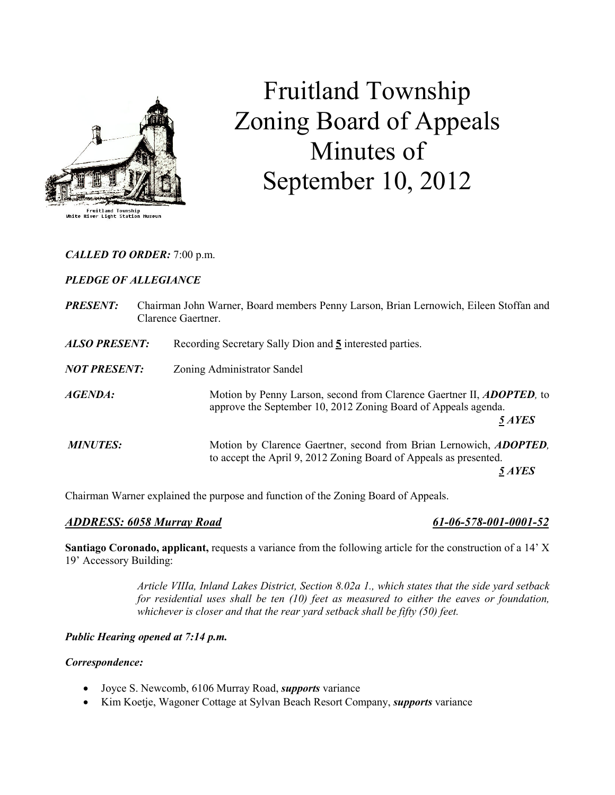

# Fruitland Township Zoning Board of Appeals Minutes of September 10, 2012

# CALLED TO ORDER: 7:00 p.m.

# PLEDGE OF ALLEGIANCE

| <b>PRESENT:</b>      | Chairman John Warner, Board members Penny Larson, Brian Lernowich, Eileen Stoffan and<br>Clarence Gaertner.                                               |
|----------------------|-----------------------------------------------------------------------------------------------------------------------------------------------------------|
| <b>ALSO PRESENT:</b> | Recording Secretary Sally Dion and 5 interested parties.                                                                                                  |
| <b>NOT PRESENT:</b>  | Zoning Administrator Sandel                                                                                                                               |
| AGENDA:              | Motion by Penny Larson, second from Clarence Gaertner II, <b>ADOPTED</b> , to<br>approve the September 10, 2012 Zoning Board of Appeals agenda.<br>5 AYES |
| <b>MINUTES:</b>      | Motion by Clarence Gaertner, second from Brian Lernowich, <i>ADOPTED</i> ,<br>to accept the April 9, 2012 Zoning Board of Appeals as presented.<br>5 AYES |

Chairman Warner explained the purpose and function of the Zoning Board of Appeals.

### ADDRESS: 6058 Murray Road 61-06-578-001-0001-52

Santiago Coronado, applicant, requests a variance from the following article for the construction of a 14' X 19' Accessory Building:

> Article VIIIa, Inland Lakes District, Section 8.02a 1., which states that the side yard setback for residential uses shall be ten (10) feet as measured to either the eaves or foundation, whichever is closer and that the rear yard setback shall be fifty (50) feet.

### Public Hearing opened at 7:14 p.m.

### Correspondence:

- Joyce S. Newcomb, 6106 Murray Road, *supports* variance
- Kim Koetje, Wagoner Cottage at Sylvan Beach Resort Company, *supports* variance